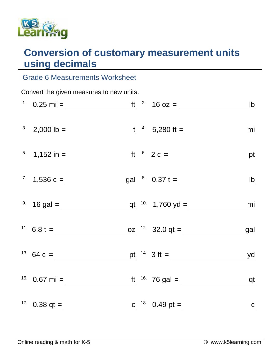

## **Conversion of customary measurement units using decimals**

## Grade 6 Measurements Worksheet

| Convert the given measures to new units. |                                                                                                       |  |  |  |    |  |  |  |
|------------------------------------------|-------------------------------------------------------------------------------------------------------|--|--|--|----|--|--|--|
|                                          |                                                                                                       |  |  |  |    |  |  |  |
|                                          | <sup>3</sup> 2,000 lb = <u>t<sup>4</sup></u> 5,280 ft =                                               |  |  |  | mi |  |  |  |
|                                          | <sup>5.</sup> 1,152 in = <u>ft</u> <sup>6.</sup> 2 c = <u>pt</u>                                      |  |  |  |    |  |  |  |
|                                          |                                                                                                       |  |  |  |    |  |  |  |
|                                          |                                                                                                       |  |  |  |    |  |  |  |
|                                          |                                                                                                       |  |  |  |    |  |  |  |
|                                          | <sup>13.</sup> 64 c = <u>pt</u> <sup>14</sup> 3 ft = <u>yd</u>                                        |  |  |  |    |  |  |  |
|                                          | <sup>15.</sup> 0.67 mi = $\frac{15}{2}$ ft $\frac{16}{2}$ 76 gal = $\frac{15}{2}$ qt                  |  |  |  |    |  |  |  |
|                                          | <sup>17.</sup> 0.38 qt = <u>c</u> <sup>18.</sup> 0.49 pt = <u>c</u> <sup>18.</sup> 0.49 pt = <u>c</u> |  |  |  |    |  |  |  |